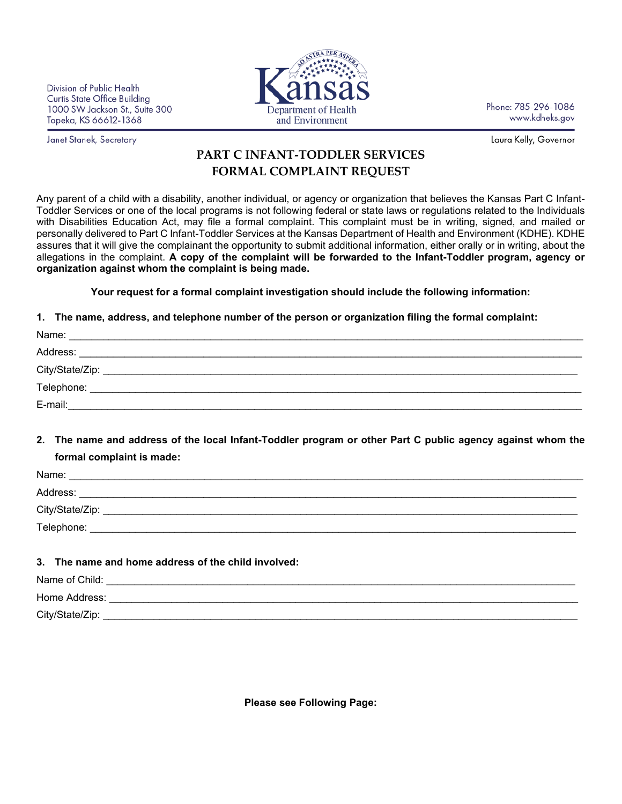Division of Public Health **Curtis State Office Building** 1000 SW Jackson St., Suite 300 Topeka, KS 66612-1368

Janet Stanek, Secretary



Phone: 785-296-1086 www.kdheks.gov

Laura Kelly, Governor

## **PART C INFANT-TODDLER SERVICES FORMAL COMPLAINT REQUEST**

Any parent of a child with a disability, another individual, or agency or organization that believes the Kansas Part C Infant-Toddler Services or one of the local programs is not following federal or state laws or regulations related to the Individuals with Disabilities Education Act, may file a formal complaint. This complaint must be in writing, signed, and mailed or personally delivered to Part C Infant-Toddler Services at the Kansas Department of Health and Environment (KDHE). KDHE assures that it will give the complainant the opportunity to submit additional information, either orally or in writing, about the allegations in the complaint. **A copy of the complaint will be forwarded to the Infant-Toddler program, agency or organization against whom the complaint is being made.** 

**Your request for a formal complaint investigation should include the following information:**

## **1. The name, address, and telephone number of the person or organization filing the formal complaint:**

| Name:<br><u> 1980 - John Stone, Amerikaansk politiker († 1908)</u> |  |
|--------------------------------------------------------------------|--|
| Address:                                                           |  |
| City/State/Zip:                                                    |  |
|                                                                    |  |
| E-mail:                                                            |  |

**2. The name and address of the local Infant-Toddler program or other Part C public agency against whom the formal complaint is made:**

| Name:                                                                 |
|-----------------------------------------------------------------------|
| Address:<br><u> 1989 - John Stone, Amerikaansk politiker (* 1989)</u> |
| City/State/Zip:                                                       |
| Telephone:                                                            |
|                                                                       |

## **3. The name and home address of the child involved:**

| Name of Child:  |  |
|-----------------|--|
| Home Address:   |  |
| City/State/Zip: |  |

**Please see Following Page:**